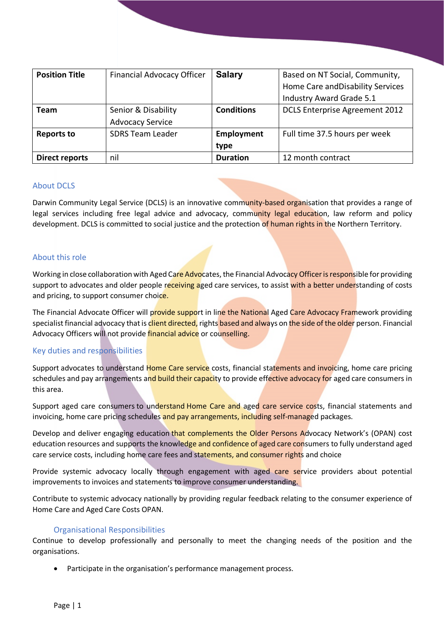| <b>Position Title</b> | <b>Financial Advocacy Officer</b> | <b>Salary</b>     | Based on NT Social, Community,    |
|-----------------------|-----------------------------------|-------------------|-----------------------------------|
|                       |                                   |                   | Home Care and Disability Services |
|                       |                                   |                   | Industry Award Grade 5.1          |
| Team                  | Senior & Disability               | <b>Conditions</b> | DCLS Enterprise Agreement 2012    |
|                       | <b>Advocacy Service</b>           |                   |                                   |
| Reports to            | <b>SDRS Team Leader</b>           | Employment        | Full time 37.5 hours per week     |
|                       |                                   | type              |                                   |
| <b>Direct reports</b> | nil                               | <b>Duration</b>   | 12 month contract                 |

## About DCLS

Darwin Community Legal Service (DCLS) is an innovative community-based organisation that provides a range of legal services including free legal advice and advocacy, community legal education, law reform and policy development. DCLS is committed to social justice and the protection of human rights in the Northern Territory.

### About this role

Working in close collaboration with Aged Care Advocates, the Financial Advocacy Officer is responsible for providing support to advocates and older people receiving aged care services, to assist with a better understanding of costs and pricing, to support consumer choice.

The Financial Advocate Officer will provide support in line the National Aged Care Advocacy Framework providing specialist financial advocacy that is client directed, rights based and always on the side of the older person. Financial Advocacy Officers will not provide financial advice or counselling.

# Key duties and responsibilities

Support advocates to understand Home Care service costs, financial statements and invoicing, home care pricing schedules and pay arrangements and build their capacity to provide effective advocacy for aged care consumers in this area.

Support aged care consumers to understand Home Care and aged care service costs, financial statements and invoicing, home care pricing schedules and pay arrangements, including self-managed packages.

Develop and deliver engaging education that complements the Older Persons Advocacy Network's (OPAN) cost education resources and supports the knowledge and confidence of aged care consumers to fully understand aged care service costs, including home care fees and statements, and consumer rights and choice

Provide systemic advocacy locally through engagement with aged care service providers about potential improvements to invoices and statements to improve consumer understanding.

Contribute to systemic advocacy nationally by providing regular feedback relating to the consumer experience of Home Care and Aged Care Costs OPAN.

### Organisational Responsibilities

Continue to develop professionally and personally to meet the changing needs of the position and the organisations.

Participate in the organisation's performance management process.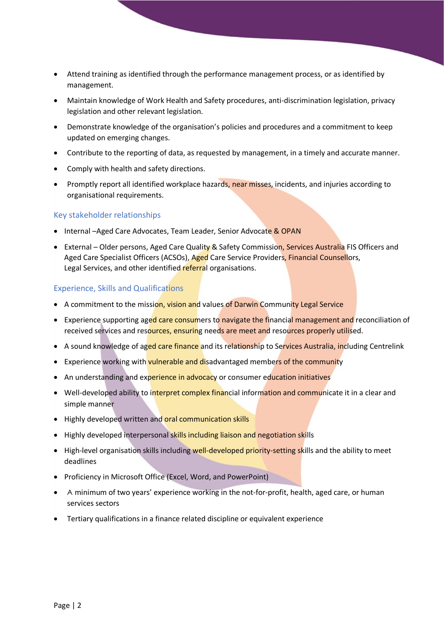- Attend training as identified through the performance management process, or as identified by management.
- Maintain knowledge of Work Health and Safety procedures, anti-discrimination legislation, privacy legislation and other relevant legislation.
- Demonstrate knowledge of the organisation's policies and procedures and a commitment to keep updated on emerging changes.
- Contribute to the reporting of data, as requested by management, in a timely and accurate manner.
- Comply with health and safety directions.
- Promptly report all identified workplace hazards, near misses, incidents, and injuries according to organisational requirements.

### Key stakeholder relationships

- Internal -Aged Care Advocates, Team Leader, Senior Advocate & OPAN
- External Older persons, Aged Care Quality & Safety Commission, Services Australia FIS Officers and Aged Care Specialist Officers (ACSOs), Aged Care Service Providers, Financial Counsellors, Legal Services, and other identified referral organisations.

#### Experience, Skills and Qualifications

- A commitment to the mission, vision and values of Darwin Community Legal Service
- Experience supporting aged care consumers to navigate the financial management and reconciliation of received services and resources, ensuring needs are meet and resources properly utilised.
- A sound knowledge of aged care finance and its relationship to Services Australia, including Centrelink
- Experience working with vulnerable and disadvantaged members of the community
- An understanding and experience in advocacy or consumer education initiatives
- Well-developed ability to interpret complex financial information and communicate it in a clear and simple manner
- Highly developed written and oral communication skills
- Highly developed interpersonal skills including liaison and negotiation skills
- High-level organisation skills including well-developed priority-setting skills and the ability to meet deadlines
- Proficiency in Microsoft Office (Excel, Word, and PowerPoint)
- A minimum of two years' experience working in the not-for-profit, health, aged care, or human services sectors
- Tertiary qualifications in a finance related discipline or equivalent experience